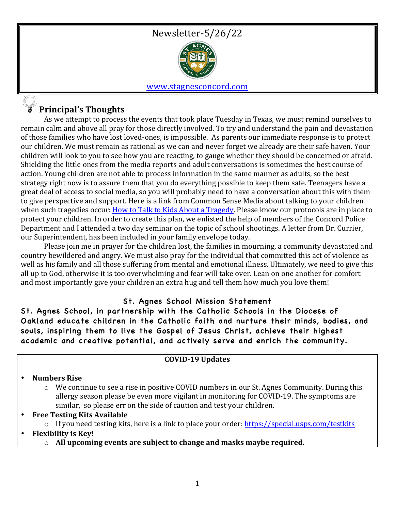



#### www.stagnesconcord.com

## **Principal's Thoughts**

As we attempt to process the events that took place Tuesday in Texas, we must remind ourselves to remain calm and above all pray for those directly involved. To try and understand the pain and devastation of those families who have lost loved-ones, is impossible. As parents our immediate response is to protect our children. We must remain as rational as we can and never forget we already are their safe haven. Your children will look to you to see how you are reacting, to gauge whether they should be concerned or afraid. Shielding the little ones from the media reports and adult conversations is sometimes the best course of action. Young children are not able to process information in the same manner as adults, so the best strategy right now is to assure them that you do everything possible to keep them safe. Teenagers have a great deal of access to social media, so you will probably need to have a conversation about this with them to give perspective and support. Here is a link from Common Sense Media about talking to your children when such tragedies occur: How to Talk to Kids About a Tragedy. Please know our protocols are in place to protect your children. In order to create this plan, we enlisted the help of members of the Concord Police Department and I attended a two day seminar on the topic of school shootings. A letter from Dr. Currier, our Superintendent, has been included in your family envelope today.

Please join me in prayer for the children lost, the families in mourning, a community devastated and country bewildered and angry. We must also pray for the individual that committed this act of violence as well as his family and all those suffering from mental and emotional illness. Ultimately, we need to give this all up to God, otherwise it is too overwhelming and fear will take over. Lean on one another for comfort and most importantly give your children an extra hug and tell them how much you love them!

### St. Agnes School Mission Statement

St. Agnes School, in partnership with the Catholic Schools in the Diocese of Oakland educate children in the Catholic faith and nurture their minds, bodies, and souls, inspiring them to live the Gospel of Jesus Christ, achieve their highest academic and creative potential, and actively serve and enrich the community.

#### **COVID-19 Updates**

### • **Numbers Rise**

- $\circ$  We continue to see a rise in positive COVID numbers in our St. Agnes Community. During this allergy season please be even more vigilant in monitoring for COVID-19. The symptoms are similar, so please err on the side of caution and test your children.
- **Free Testing Kits Available**  $\circ$  If you need testing kits, here is a link to place your order: https://special.usps.com/testkits
- **Flexibility is Key!** 
	- $\circ$  All upcoming events are subject to change and masks maybe required.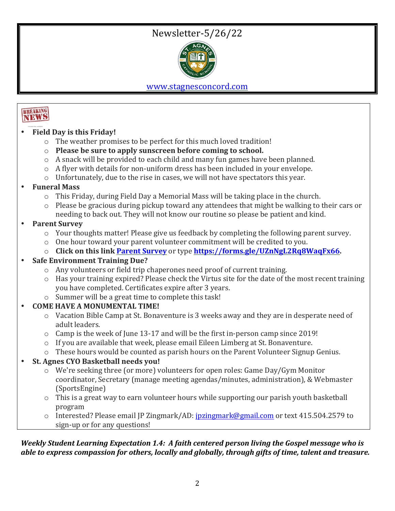# Newsletter-5/26/22



www.stagnesconcord.com



- **Field Day is this Friday!** 
	- $\circ$  The weather promises to be perfect for this much loved tradition!
	- $\circ$  **Please be sure to apply sunscreen before coming to school.**
	- $\circ$  A snack will be provided to each child and many fun games have been planned.
	- $\circ$  A flyer with details for non-uniform dress has been included in your envelope.
	- $\circ$  Unfortunately, due to the rise in cases, we will not have spectators this year.

## • **Funeral Mass**

- $\circ$  This Friday, during Field Day a Memorial Mass will be taking place in the church.
- $\circ$  Please be gracious during pickup toward any attendees that might be walking to their cars or needing to back out. They will not know our routine so please be patient and kind.

## **Parent Survey**

- $\circ$  Your thoughts matter! Please give us feedback by completing the following parent survey.
- $\circ$  One hour toward your parent volunteer commitment will be credited to you.
- o **Click on this link <u>Parent Survey</u> or type https://forms.gle/UZnNgL2Rq8WaqFx66.**

## • **Safe Environment Training Due?**

- $\circ$  Any volunteers or field trip chaperones need proof of current training.
- $\circ$  Has your training expired? Please check the Virtus site for the date of the most recent training you have completed. Certificates expire after 3 years.
- $\circ$  Summer will be a great time to complete this task!

## **COME HAVE A MONUMENTAL TIME!**

- $\circ$  Vacation Bible Camp at St. Bonaventure is 3 weeks away and they are in desperate need of adult leaders.
- $\circ$  Camp is the week of June 13-17 and will be the first in-person camp since 2019!
- $\circ$  If you are available that week, please email Eileen Limberg at St. Bonaventure.
- $\circ$  These hours would be counted as parish hours on the Parent Volunteer Signup Genius.

## • **St. Agnes CYO Basketball needs you!**

- $\circ$  We're seeking three (or more) volunteers for open roles: Game Day/Gym Monitor coordinator, Secretary (manage meeting agendas/minutes, administration), & Webmaster (SportsEngine)
- $\circ$  This is a great way to earn volunteer hours while supporting our parish youth basketball program
- $\circ$  Interested? Please email IP Zingmark/AD: jpzingmark@gmail.com or text 415.504.2579 to sign-up or for any questions!

## *Weekly Student Learning Expectation 1.4: A faith centered person living the Gospel message who is able to express compassion for others, locally and globally, through gifts of time, talent and treasure.*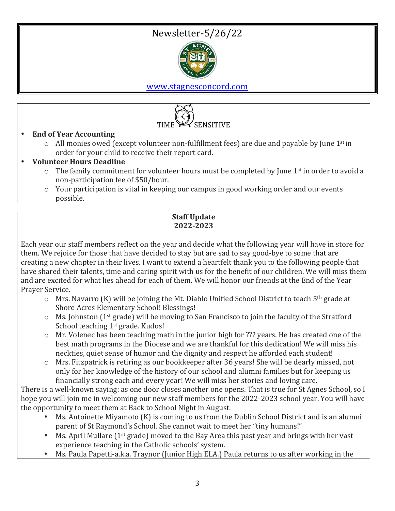# Newsletter-5/26/22



www.stagnesconcord.com



- **End of Year Accounting**
	- $\circ$  All monies owed (except volunteer non-fulfillment fees) are due and payable by June 1<sup>st</sup> in order for your child to receive their report card.
- **Volunteer Hours Deadline**
	- $\circ$  The family commitment for volunteer hours must be completed by June 1<sup>st</sup> in order to avoid a non-participation fee of \$50/hour.
	- $\circ$  Your participation is vital in keeping our campus in good working order and our events possible.

## **Staff Update 2022-2023**

Each year our staff members reflect on the year and decide what the following year will have in store for them. We rejoice for those that have decided to stay but are sad to say good-bye to some that are creating a new chapter in their lives. I want to extend a heartfelt thank you to the following people that have shared their talents, time and caring spirit with us for the benefit of our children. We will miss them and are excited for what lies ahead for each of them. We will honor our friends at the End of the Year Prayer Service.

- $\circ$  Mrs. Navarro (K) will be joining the Mt. Diablo Unified School District to teach 5<sup>th</sup> grade at Shore Acres Elementary School! Blessings!
- $\circ$  Ms. Johnston (1<sup>st</sup> grade) will be moving to San Francisco to join the faculty of the Stratford School teaching  $1<sup>st</sup>$  grade. Kudos!
- $\circ$  Mr. Volenec has been teaching math in the junior high for ??? years. He has created one of the best math programs in the Diocese and we are thankful for this dedication! We will miss his neckties, quiet sense of humor and the dignity and respect he afforded each student!
- $\circ$  Mrs. Fitzpatrick is retiring as our bookkeeper after 36 years! She will be dearly missed, not only for her knowledge of the history of our school and alumni families but for keeping us financially strong each and every year! We will miss her stories and loving care.

There is a well-known saying: as one door closes another one opens. That is true for St Agnes School, so I hope you will join me in welcoming our new staff members for the 2022-2023 school year. You will have the opportunity to meet them at Back to School Night in August.

- Ms. Antoinette Miyamoto (K) is coming to us from the Dublin School District and is an alumni parent of St Raymond's School. She cannot wait to meet her "tiny humans!"
- Ms. April Mullare  $(1^{st}$  grade) moved to the Bay Area this past year and brings with her vast experience teaching in the Catholic schools' system.
- Ms. Paula Papetti-a.k.a. Traynor (Junior High ELA.) Paula returns to us after working in the